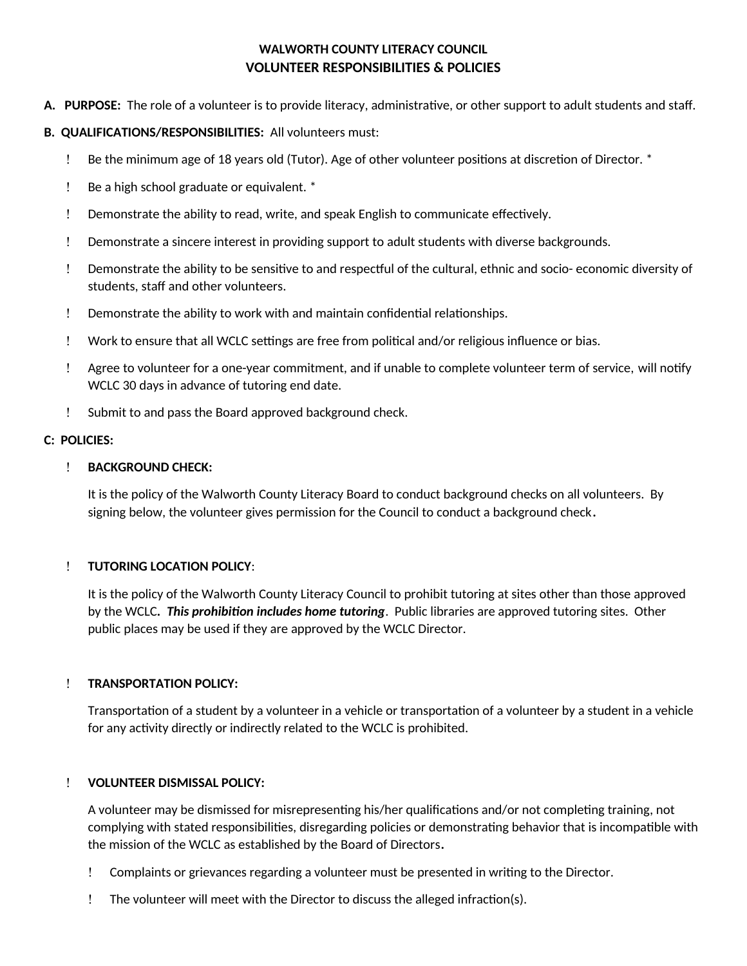# **WALWORTH COUNTY LITERACY COUNCIL VOLUNTEER RESPONSIBILITIES & POLICIES**

**A. PURPOSE:** The role of a volunteer is to provide literacy, administratve, or other support to adult students and staf.

## **B. QUALIFICATIONS/RESPONSIBILITIES:** All volunteers must:

- $\mu$  Be the minimum age of 18 years old (Tutor). Age of other volunteer positions at discretion of Director.  $\ast$
- Be a high school graduate or equivalent. \*
- Demonstrate the ability to read, write, and speak English to communicate efectvely.
- Demonstrate a sincere interest in providing support to adult students with diverse backgrounds.
- Demonstrate the ability to be sensitve to and respectul of the cultural, ethnic and socio- economic diversity of students, staff and other volunteers.
- ! Demonstrate the ability to work with and maintain confidential relationships.
- ! Work to ensure that all WCLC settings are free from political and/or religious influence or bias.
- Agree to volunteer for a one-year commitment, and if unable to complete volunteer term of service, will notfy WCLC 30 days in advance of tutoring end date.
- Submit to and pass the Board approved background check.

## **C: POLICIES:**

## **BACKGROUND CHECK:**

It is the policy of the Walworth County Literacy Board to conduct background checks on all volunteers. By signing below, the volunteer gives permission for the Council to conduct a background check**.** 

## **TUTORING LOCATION POLICY**:

It is the policy of the Walworth County Literacy Council to prohibit tutoring at sites other than those approved by the WCLC*. This prohibiton includes home tutoring*. Public libraries are approved tutoring sites. Other public places may be used if they are approved by the WCLC Director.

#### **TRANSPORTATION POLICY:**

Transportation of a student by a volunteer in a vehicle or transportation of a volunteer by a student in a vehicle for any activity directly or indirectly related to the WCLC is prohibited.

#### **VOLUNTEER DISMISSAL POLICY:**

A volunteer may be dismissed for misrepresenting his/her qualifications and/or not completing training, not complying with stated responsibilites, disregarding policies or demonstratng behavior that is incompatble with the mission of the WCLC as established by the Board of Directors**.**

- Complaints or grievances regarding a volunteer must be presented in writng to the Director.
- The volunteer will meet with the Director to discuss the alleged infracton(s).